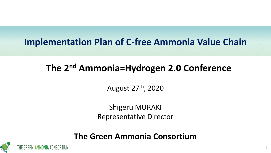## **Implementation Plan of C-free Ammonia Value Chain**

# **The 2nd Ammonia=Hydrogen 2.0 Conference**

August 27th, 2020

Shigeru MURAKI Representative Director

### **The Green Ammonia Consortium**

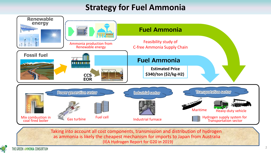### **Strategy for Fuel Ammonia**



Taking into account all cost components, transmission and distribution of hydrogen as ammonia is likely the cheapest mechanism for imports to Japan from Australia (IEA Hydrogen Report for G20 in 2019)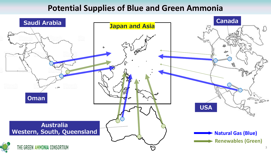#### **Potential Supplies of Blue and Green Ammonia**

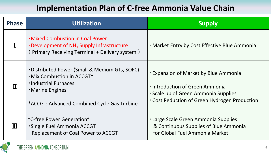### **Implementation Plan of C-free Ammonia Value Chain**

| <b>Phase</b> | <b>Utilization</b>                                                                                                                                                              | <b>Supply</b>                                                                                                                                                               |
|--------------|---------------------------------------------------------------------------------------------------------------------------------------------------------------------------------|-----------------------------------------------------------------------------------------------------------------------------------------------------------------------------|
|              | <b>.</b> Mixed Combustion in Coal Power<br>• Development of NH <sub>3</sub> Supply Infrastructure<br>(Primary Receiving Terminal + Delivery system)                             | . Market Entry by Cost Effective Blue Ammonia                                                                                                                               |
|              | . Distributed Power (Small & Medium GTs, SOFC)<br><b>.</b> Mix Combustion in ACCGT*<br>· Industrial Furnaces<br>• Marine Engines<br>*ACCGT: Advanced Combined Cycle Gas Turbine | <b>Expansion of Market by Blue Ammonia</b><br>· Introduction of Green Ammonia<br><b>Scale up of Green Ammonia Supplies</b><br>. Cost Reduction of Green Hydrogen Production |
| Ш            | "C-free Power Generation"<br><b>Single Fuel Ammonia ACCGT</b><br><b>Replacement of Coal Power to ACCGT</b>                                                                      | <b>-Large Scale Green Ammonia Supplies</b><br>& Continuous Supplies of Blue Ammonia<br>for Global Fuel Ammonia Market                                                       |

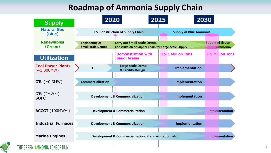### **Roadmap of Ammonia Supply Chain**

| <b>Supply</b>                                   | 2020                                              | 2025                                                                                             | 2030                          |                                          |
|-------------------------------------------------|---------------------------------------------------|--------------------------------------------------------------------------------------------------|-------------------------------|------------------------------------------|
| <b>Natural Gas</b><br>(Blue)                    |                                                   | FS, Construction of Supply Chain                                                                 | <b>Supply of Blue Ammonia</b> |                                          |
| <b>Renewables</b><br>(Green)                    | <b>Engineering of</b><br><b>Small-scale Demos</b> | <b>Carry out Small-scale Demo,</b><br><b>Construction of Supply Chain for Large-scale Supply</b> |                               | <b>Supply of Green</b><br><b>Ammonia</b> |
| <b>Utilization</b>                              |                                                   | <b>Demonstration with</b><br><b>Saudi Arabia</b>                                                 | 0.5-1 Million Tons            | <b>3-5 Million Tons</b>                  |
| <b>Coal Power Plants</b><br>$(\sim\!\!1,000MW)$ | <b>FS</b>                                         | Large-scale Demo<br>& Facility Design                                                            | Implementation                |                                          |
| $GTs$ ( $\sim$ 0.3MW)                           | <b>Commercialization</b>                          |                                                                                                  | Implementation                |                                          |
| GTs (2MW $\sim$ )<br><b>SOFC</b>                |                                                   | <b>Development &amp; Commercialization</b>                                                       | Implementation                |                                          |
| ACCGT $(100MW\sim)$                             |                                                   | <b>Development &amp; Commercialization</b>                                                       |                               | <b>Implementation</b>                    |
| <b>Industrial Furnaces</b>                      |                                                   | <b>Development &amp; Commercialization</b>                                                       | Implementation                |                                          |
| <b>Marine Engines</b>                           |                                                   | Development & Commercialization, Standardization, etc.                                           |                               | <b>Implementation</b>                    |
| THE GREEN AMMONIA CONSORTIUM                    |                                                   |                                                                                                  |                               |                                          |